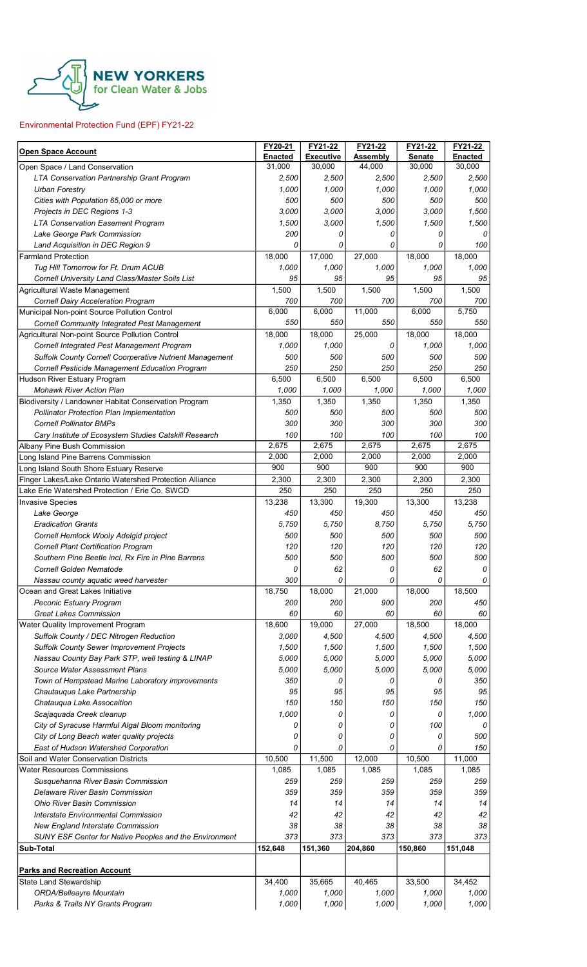

## Environmental Protection Fund (EPF) FY21-22

| Open Space Account                                                                       | FY20-21           | FY21-22                    | FY21-22            | FY21-22          | FY21-22                  |
|------------------------------------------------------------------------------------------|-------------------|----------------------------|--------------------|------------------|--------------------------|
|                                                                                          | Enacted<br>31,000 | <b>Executive</b><br>30,000 | Assembly<br>44,000 | Senate<br>30,000 | <b>Enacted</b><br>30,000 |
| Open Space / Land Conservation<br>LTA Conservation Partnership Grant Program             | 2,500             | 2,500                      | 2,500              | 2,500            | 2,500                    |
| <b>Urban Forestry</b>                                                                    | 1,000             | 1,000                      | 1,000              | 1,000            | 1,000                    |
| Cities with Population 65,000 or more                                                    | 500               | 500                        | 500                | 500              | 500                      |
| Projects in DEC Regions 1-3                                                              | 3,000             | 3,000                      | 3,000              | 3,000            | 1,500                    |
| <b>LTA Conservation Easement Program</b>                                                 | 1,500             | 3,000                      | 1,500              | 1,500            | 1,500                    |
| Lake George Park Commission                                                              | 200               | 0                          | 0                  | 0                | 0                        |
| Land Acquisition in DEC Region 9                                                         | 0                 | 0                          | 0                  | 0                | 100                      |
| <b>Farmland Protection</b>                                                               | 18,000            | 17,000                     | 27,000             | 18,000           | 18,000                   |
| Tug Hill Tomorrow for Ft. Drum ACUB                                                      | 1,000             | 1,000                      | 1,000              | 1,000            | 1,000                    |
| Cornell University Land Class/Master Soils List                                          | 95<br>1,500       | 95<br>1,500                | 95<br>1,500        | 95<br>1,500      | 95<br>1,500              |
| Agricultural Waste Management<br><b>Cornell Dairy Acceleration Program</b>               | 700               | 700                        | 700                | 700              | 700                      |
| Municipal Non-point Source Pollution Control                                             | 6,000             | 6,000                      | 11,000             | 6,000            | 5,750                    |
| Cornell Community Integrated Pest Management                                             | 550               | 550                        | 550                | 550              | 550                      |
| Agricultural Non-point Source Pollution Control                                          | 18,000            | 18,000                     | 25,000             | 18,000           | 18,000                   |
| Cornell Integrated Pest Management Program                                               | 1,000             | 1,000                      | 0                  | 1.000            | 1,000                    |
| Suffolk County Cornell Coorperative Nutrient Management                                  | 500               | 500                        | 500                | 500              | 500                      |
| Cornell Pesticide Management Education Program                                           | 250               | 250                        | 250                | 250              | 250                      |
| Hudson River Estuary Program                                                             | 6,500             | 6,500                      | 6,500              | 6,500            | 6,500                    |
| <b>Mohawk River Action Plan</b><br>Biodiversity / Landowner Habitat Conservation Program | 1,000<br>1,350    | 1,000<br>1,350             | 1,000<br>1,350     | 1,000<br>1,350   | 1,000<br>1,350           |
| <b>Pollinator Protection Plan Implementation</b>                                         | 500               | 500                        | 500                | 500              | 500                      |
| <b>Cornell Pollinator BMPs</b>                                                           | 300               | 300                        | 300                | 300              | 300                      |
| Cary Institute of Ecosystem Studies Catskill Research                                    | 100               | 100                        | 100                | 100              | 100                      |
| Albany Pine Bush Commission                                                              | 2,675             | 2,675                      | 2,675              | 2,675            | 2,675                    |
| Long Island Pine Barrens Commission                                                      | 2,000             | 2,000                      | 2,000              | 2,000            | 2,000                    |
| Long Island South Shore Estuary Reserve                                                  | 900               | 900                        | 900                | 900              | 900                      |
| Finger Lakes/Lake Ontario Watershed Protection Alliance                                  | 2,300             | 2,300                      | 2,300              | 2,300            | 2,300                    |
| Lake Erie Watershed Protection / Erie Co. SWCD                                           | 250               | 250                        | 250                | 250              | 250                      |
| <b>Invasive Species</b>                                                                  | 13,238            | 13,300                     | 19,300             | 13,300           | 13,238                   |
| Lake George<br><b>Eradication Grants</b>                                                 | 450<br>5,750      | 450<br>5.750               | 450<br>8,750       | 450<br>5,750     | 450<br>5,750             |
| Cornell Hemlock Wooly Adelgid project                                                    | 500               | 500                        | 500                | 500              | 500                      |
| <b>Cornell Plant Certification Program</b>                                               | 120               | 120                        | 120                | 120              | 120                      |
| Southern Pine Beetle incl. Rx Fire in Pine Barrens                                       | 500               | 500                        | 500                | 500              | 500                      |
| Cornell Golden Nematode                                                                  | 0                 | 62                         | 0                  | 62               | $\Omega$                 |
| Nassau county aquatic weed harvester                                                     | 300               | 0                          | 0                  | 0                | 0                        |
| Ocean and Great Lakes Initiative                                                         | 18,750            | 18,000                     | 21,000             | 18,000           | 18,500                   |
| Peconic Estuary Program                                                                  | 200               | 200                        | 900                | 200              | 450                      |
| <b>Great Lakes Commission</b><br>Water Quality Improvement Program                       | 60<br>18,600      | 60<br>19,000               | 60<br>27,000       | 60<br>18,500     | 60<br>18,000             |
| Suffolk County / DEC Nitrogen Reduction                                                  | 3,000             | 4,500                      | 4,500              | 4,500            | 4,500                    |
| <b>Suffolk County Sewer Improvement Projects</b>                                         | 1,500             | 1,500                      | 1,500              | 1,500            | 1,500                    |
| Nassau County Bay Park STP, well testing & LINAP                                         | 5,000             | 5,000                      | 5,000              | 5,000            | 5,000                    |
| Source Water Assessment Plans                                                            | 5,000             | 5,000                      | 5,000              | 5,000            | 5,000                    |
| Town of Hempstead Marine Laboratory improvements                                         | 350               | 0                          | 0                  | 0                | 350                      |
| Chautauqua Lake Partnership                                                              | 95                | 95                         | 95                 | 95               | 95                       |
| Chatauqua Lake Assocaition                                                               | 150               | 150                        | 150                | 150              | 150                      |
| Scajaquada Creek cleanup                                                                 | 1,000             | 0                          | 0                  | 0                | 1,000                    |
| City of Syracuse Harmful Algal Bloom monitoring                                          | 0                 | 0                          | 0                  | 100              | 0                        |
| City of Long Beach water quality projects<br>East of Hudson Watershed Corporation        | 0<br>0            | 0<br>0                     | 0<br>0             | 0<br>0           | 500<br>150               |
| Soil and Water Conservation Districts                                                    | 10,500            | 11,500                     | 12,000             | 10,500           | 11,000                   |
| <b>Water Resources Commissions</b>                                                       | 1,085             | 1,085                      | 1,085              | 1,085            | 1,085                    |
| Susquehanna River Basin Commission                                                       | 259               | 259                        | 259                | 259              | 259                      |
| Delaware River Basin Commission                                                          | 359               | 359                        | 359                | 359              | 359                      |
| <b>Ohio River Basin Commission</b>                                                       | 14                | 14                         | 14                 | 14               | 14                       |
| <b>Interstate Environmental Commission</b>                                               | 42                | 42                         | 42                 | 42               | 42                       |
| New England Interstate Commission                                                        | 38                | 38                         | 38                 | 38               | 38                       |
| SUNY ESF Center for Native Peoples and the Environment                                   | 373               | 373                        | 373                | 373              | 373                      |
| Sub-Total                                                                                | 152,648           | 151,360                    | 204,860            | 150,860          | 151,048                  |
|                                                                                          |                   |                            |                    |                  |                          |
| <b>Parks and Recreation Account</b>                                                      |                   |                            |                    |                  |                          |
|                                                                                          |                   |                            |                    |                  |                          |
| <b>State Land Stewardship</b><br>ORDA/Belleayre Mountain                                 | 34,400<br>1,000   | 35,665<br>1,000            | 40,465<br>1,000    | 33,500<br>1,000  | 34,452<br>1,000          |